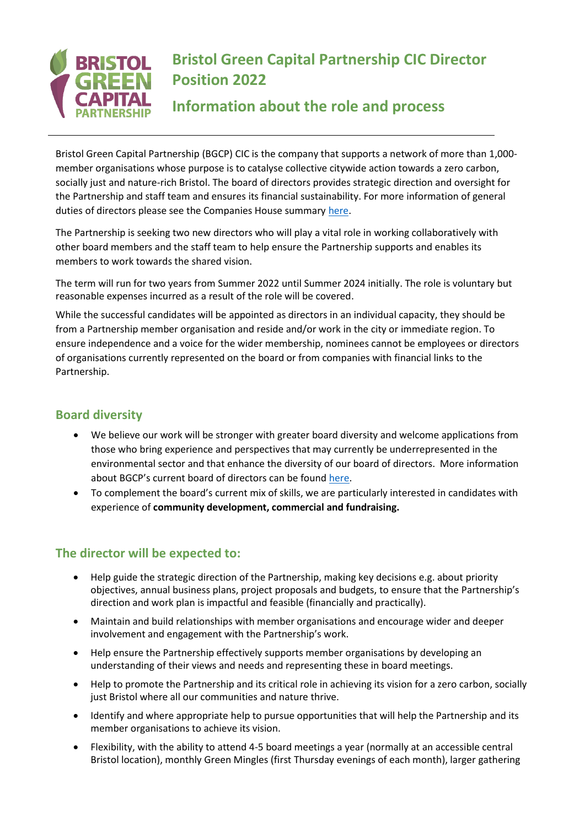

# **Bristol Green Capital Partnership CIC Director Position 2022**

## **Information about the role and process**

Bristol Green Capital Partnership (BGCP) CIC is the company that supports a network of more than 1,000 member organisations whose purpose is to catalyse collective citywide action towards a zero carbon, socially just and nature-rich Bristol. The [board of directors](http://bristolgreencapital.org/about/about-the-company/) provides strategic direction and oversight for the Partnership and staff team and ensures its financial sustainability. For more information of general duties of directors please see the Companies House summary [here.](https://www.gov.uk/guidance/being-a-company-director)

The Partnership is seeking two new directors who will play a vital role in working collaboratively with other board members and the staff team to help ensure the Partnership supports and enables its members to work towards the shared vision.

The term will run for two years from Summer 2022 until Summer 2024 initially. The role is voluntary but reasonable expenses incurred as a result of the role will be covered.

While the successful candidates will be appointed as directors in an individual capacity, they should be from [a Partnership member organisation](http://bristolgreencapital.org/list-of-members/) and reside and/or work in the city or immediate region. To ensure independence and a voice for the wider membership, nominees cannot be employees or directors of organisations currently represented on the board or from companies with financial links to the Partnership.

### **Board diversity**

- We believe our work will be stronger with greater board diversity and welcome applications from those who bring experience and perspectives that may currently be underrepresented in the environmental sector and that enhance the diversity of our board of directors. More information about BGCP's current board of directors can be found [here.](https://bristolgreencapital.org/board-of-directors/)
- To complement the board's current mix of skills, we are particularly interested in candidates with experience of **community development, commercial and fundraising.**

## **The director will be expected to:**

- Help guide the strategic direction of the Partnership, making key decisions e.g. about priority objectives, annual business plans, project proposals and budgets, to ensure that the Partnership's direction and work plan is impactful and feasible (financially and practically).
- Maintain and build relationships with member organisations and encourage wider and deeper involvement and engagement with the Partnership's work.
- Help ensure the Partnership effectively supports member organisations by developing an understanding of their views and needs and representing these in board meetings.
- Help to promote the Partnership and its critical role in achieving its vision for a zero carbon, socially just Bristol where all our communities and nature thrive.
- Identify and where appropriate help to pursue opportunities that will help the Partnership and its member organisations to achieve its vision.
- Flexibility, with the ability to attend 4-5 board meetings a year (normally at an accessible central Bristol location), monthly Green Mingles (first Thursday evenings of each month), larger gathering